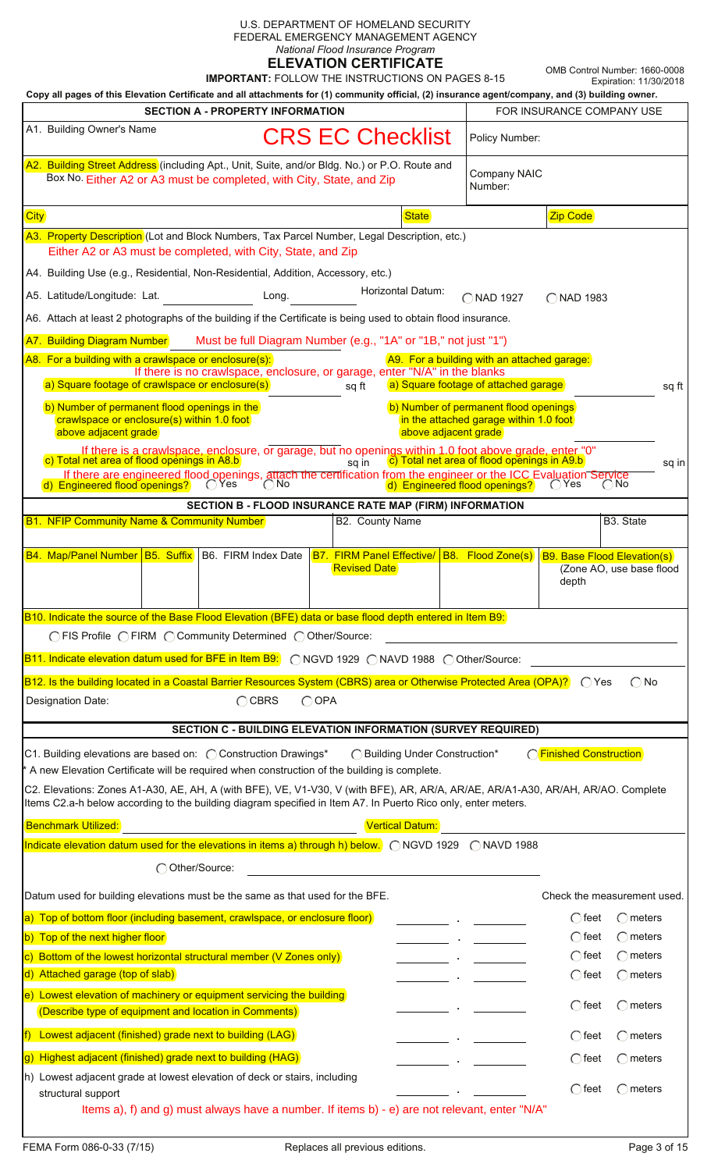| U.S. DEPARTMENT OF HOMELAND SECURITY<br>FEDERAL EMERGENCY MANAGEMENT AGENCY<br>National Flood Insurance Program<br><b>ELEVATION CERTIFICATE</b><br><b>IMPORTANT: FOLLOW THE INSTRUCTIONS ON PAGES 8-15</b><br>Copy all pages of this Elevation Certificate and all attachments for (1) community official, (2) insurance agent/company, and (3) building owner.                                                                       | OMB Control Number: 1660-0008<br>Expiration: 11/30/2018 |  |  |  |  |  |
|---------------------------------------------------------------------------------------------------------------------------------------------------------------------------------------------------------------------------------------------------------------------------------------------------------------------------------------------------------------------------------------------------------------------------------------|---------------------------------------------------------|--|--|--|--|--|
| <b>SECTION A - PROPERTY INFORMATION</b><br>FOR INSURANCE COMPANY USE                                                                                                                                                                                                                                                                                                                                                                  |                                                         |  |  |  |  |  |
| A1. Building Owner's Name<br><b>CRS EC Checklist</b><br>Policy Number:                                                                                                                                                                                                                                                                                                                                                                |                                                         |  |  |  |  |  |
| A2. Building Street Address (including Apt., Unit, Suite, and/or Bldg. No.) or P.O. Route and<br>Company NAIC<br>Box No. Either A2 or A3 must be completed, with City, State, and Zip<br>Number:                                                                                                                                                                                                                                      |                                                         |  |  |  |  |  |
| <b>City</b><br><b>State</b><br><b>Zip Code</b>                                                                                                                                                                                                                                                                                                                                                                                        |                                                         |  |  |  |  |  |
| A3. Property Description (Lot and Block Numbers, Tax Parcel Number, Legal Description, etc.)<br>Either A2 or A3 must be completed, with City, State, and Zip                                                                                                                                                                                                                                                                          |                                                         |  |  |  |  |  |
| A4. Building Use (e.g., Residential, Non-Residential, Addition, Accessory, etc.)                                                                                                                                                                                                                                                                                                                                                      |                                                         |  |  |  |  |  |
| Horizontal Datum:<br>A5. Latitude/Longitude: Lat.<br>Long.<br>◯ NAD 1927<br>◯ NAD 1983                                                                                                                                                                                                                                                                                                                                                |                                                         |  |  |  |  |  |
| A6. Attach at least 2 photographs of the building if the Certificate is being used to obtain flood insurance.                                                                                                                                                                                                                                                                                                                         |                                                         |  |  |  |  |  |
| Must be full Diagram Number (e.g., "1A" or "1B," not just "1")<br>A7. Building Diagram Number                                                                                                                                                                                                                                                                                                                                         |                                                         |  |  |  |  |  |
| A8. For a building with a crawlspace or enclosure(s):<br>A9. For a building with an attached garage:                                                                                                                                                                                                                                                                                                                                  |                                                         |  |  |  |  |  |
| If there is no crawlspace, enclosure, or garage, enter "N/A" in the blanks<br>a) Square footage of crawlspace or enclosure(s)<br>a) Square footage of attached garage<br>sq ft                                                                                                                                                                                                                                                        | sq ft                                                   |  |  |  |  |  |
| b) Number of permanent flood openings in the<br>b) Number of permanent flood openings<br>crawlspace or enclosure(s) within 1.0 foot<br>in the attached garage within 1.0 foot<br>above adjacent grade<br>above adjacent grade                                                                                                                                                                                                         |                                                         |  |  |  |  |  |
| If there is a crawlspace, enclosure, or garage, but no openings within 1.0 foot above grade, enter "0"<br>c) Total net area of flood openings in A8.b<br>c) Total net area of flood openings in A9.b<br>sq in<br>If there are engineered flood openings, attach the certification from the engineer or the ICC Evaluation Service<br>d) Engineered flood openings?<br>OYes<br>( ) No<br>d) Engineered flood openings?<br><u>C</u> Yes | sq in<br>( ) No                                         |  |  |  |  |  |
| SECTION B - FLOOD INSURANCE RATE MAP (FIRM) INFORMATION                                                                                                                                                                                                                                                                                                                                                                               |                                                         |  |  |  |  |  |
| <b>B1. NFIP Community Name &amp; Community Number</b><br>B2. County Name                                                                                                                                                                                                                                                                                                                                                              | B <sub>3</sub> . State                                  |  |  |  |  |  |
| <b>B4. Map/Panel Number B5. Suffix</b> B6. FIRM Index Date<br>B8. Flood Zone(s)<br><b>B7. FIRM Panel Effective/</b>                                                                                                                                                                                                                                                                                                                   | <b>B9. Base Flood Elevation(s)</b>                      |  |  |  |  |  |
| <b>Revised Date</b><br>depth                                                                                                                                                                                                                                                                                                                                                                                                          | (Zone AO, use base flood                                |  |  |  |  |  |
| B10. Indicate the source of the Base Flood Elevation (BFE) data or base flood depth entered in Item B9:                                                                                                                                                                                                                                                                                                                               |                                                         |  |  |  |  |  |
| ○ FIS Profile ○ FIRM ○ Community Determined ○ Other/Source:                                                                                                                                                                                                                                                                                                                                                                           |                                                         |  |  |  |  |  |
| B11. Indicate elevation datum used for BFE in Item B9: 0 NGVD 1929 0 NAVD 1988 0 Other/Source:                                                                                                                                                                                                                                                                                                                                        |                                                         |  |  |  |  |  |
| B12. Is the building located in a Coastal Barrier Resources System (CBRS) area or Otherwise Protected Area (OPA)? CYes                                                                                                                                                                                                                                                                                                                | $\bigcirc$ No                                           |  |  |  |  |  |
| CBRS<br>$\bigcirc$ OPA<br>Designation Date:<br>SECTION C - BUILDING ELEVATION INFORMATION (SURVEY REQUIRED)                                                                                                                                                                                                                                                                                                                           |                                                         |  |  |  |  |  |
|                                                                                                                                                                                                                                                                                                                                                                                                                                       |                                                         |  |  |  |  |  |
| CFinished Construction<br>C1. Building elevations are based on: ◯ Construction Drawings*<br>◯ Building Under Construction*<br>* A new Elevation Certificate will be required when construction of the building is complete.                                                                                                                                                                                                           |                                                         |  |  |  |  |  |
| C2. Elevations: Zones A1-A30, AE, AH, A (with BFE), VE, V1-V30, V (with BFE), AR, AR/A, AR/AE, AR/A1-A30, AR/AH, AR/AO. Complete<br>Items C2.a-h below according to the building diagram specified in Item A7. In Puerto Rico only, enter meters.                                                                                                                                                                                     |                                                         |  |  |  |  |  |
| <b>Benchmark Utilized:</b><br><b>Vertical Datum:</b>                                                                                                                                                                                                                                                                                                                                                                                  |                                                         |  |  |  |  |  |
| Indicate elevation datum used for the elevations in items a) through h) below. $\bigcap$ NGVD 1929 $\bigcap$ NAVD 1988                                                                                                                                                                                                                                                                                                                |                                                         |  |  |  |  |  |
| Other/Source:                                                                                                                                                                                                                                                                                                                                                                                                                         |                                                         |  |  |  |  |  |
| Datum used for building elevations must be the same as that used for the BFE.                                                                                                                                                                                                                                                                                                                                                         | Check the measurement used.                             |  |  |  |  |  |
| a) Top of bottom floor (including basement, crawlspace, or enclosure floor)<br>( ) feet                                                                                                                                                                                                                                                                                                                                               | ○ meters                                                |  |  |  |  |  |
| b) Top of the next higher floor<br>$\bigcirc$ feet<br>c) Bottom of the lowest horizontal structural member (V Zones only)<br>$\bigcirc$ feet                                                                                                                                                                                                                                                                                          | $\bigcap$ meters<br>$\bigcirc$ meters                   |  |  |  |  |  |
| d) Attached garage (top of slab)<br>$\bigcap$ feet                                                                                                                                                                                                                                                                                                                                                                                    | $\bigcirc$ meters                                       |  |  |  |  |  |
| e) Lowest elevation of machinery or equipment servicing the building                                                                                                                                                                                                                                                                                                                                                                  |                                                         |  |  |  |  |  |
| $\bigcap$ meters<br>$\bigcap$ feet<br>(Describe type of equipment and location in Comments)                                                                                                                                                                                                                                                                                                                                           |                                                         |  |  |  |  |  |
| $ f $ Lowest adjacent (finished) grade next to building (LAG)<br>○ feet                                                                                                                                                                                                                                                                                                                                                               | ○ meters                                                |  |  |  |  |  |
| g) Highest adjacent (finished) grade next to building (HAG)<br>$\bigcirc$ feet                                                                                                                                                                                                                                                                                                                                                        | $\bigcirc$ meters                                       |  |  |  |  |  |
| h) Lowest adjacent grade at lowest elevation of deck or stairs, including<br>$\bigcirc$ feet                                                                                                                                                                                                                                                                                                                                          | $\bigcap$ meters                                        |  |  |  |  |  |
| structural support<br>Items a), f) and g) must always have a number. If items b) - e) are not relevant, enter "N/A"                                                                                                                                                                                                                                                                                                                   |                                                         |  |  |  |  |  |
|                                                                                                                                                                                                                                                                                                                                                                                                                                       |                                                         |  |  |  |  |  |

| (b) Lowest adjacent grade at lowest elevation of deck or stairs, including |  |
|----------------------------------------------------------------------------|--|
| structural support                                                         |  |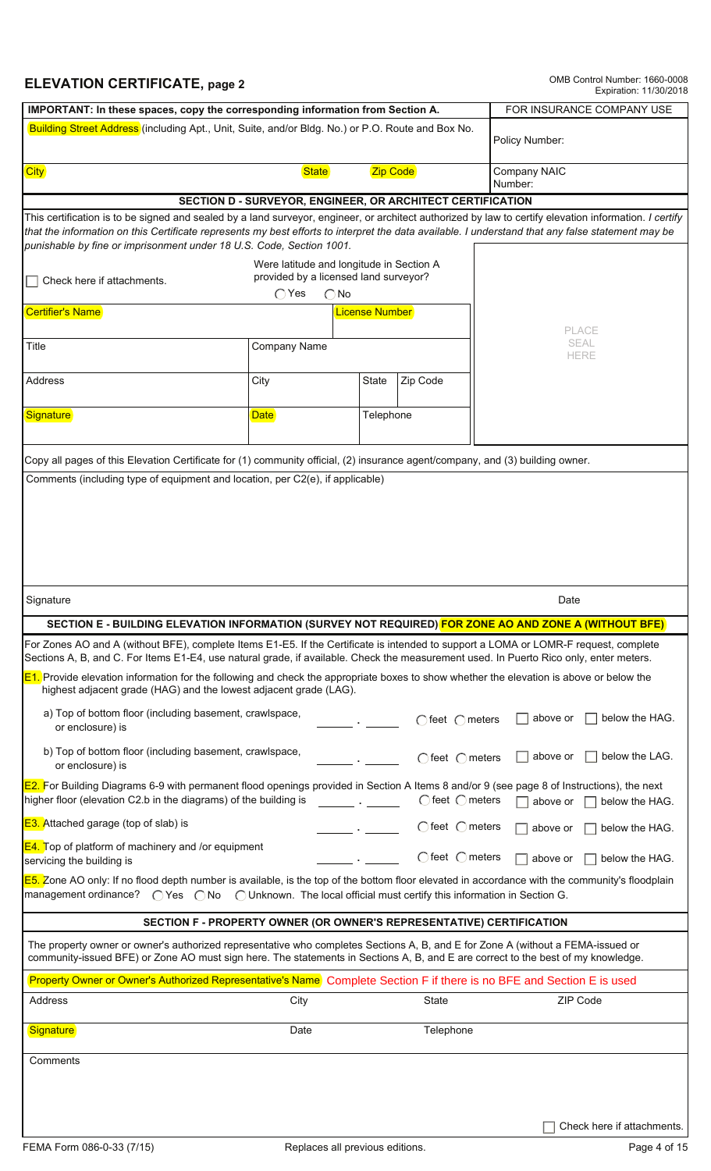## **ELEVATION CERTIFICATE, page 2** OMB Control Number: 1660-0008<br>Expiration: 11/30/2018

|                                                                                                                                                                                                                                                                                                                                                                                     | IMPORTANT: In these spaces, copy the corresponding information from Section A. |                                                                      |                            |  |  |  |  |
|-------------------------------------------------------------------------------------------------------------------------------------------------------------------------------------------------------------------------------------------------------------------------------------------------------------------------------------------------------------------------------------|--------------------------------------------------------------------------------|----------------------------------------------------------------------|----------------------------|--|--|--|--|
| Building Street Address (including Apt., Unit, Suite, and/or Bldg. No.) or P.O. Route and Box No.                                                                                                                                                                                                                                                                                   |                                                                                |                                                                      | Policy Number:             |  |  |  |  |
| <b>City</b>                                                                                                                                                                                                                                                                                                                                                                         | <b>State</b>                                                                   | <b>Zip Code</b>                                                      | Company NAIC<br>Number:    |  |  |  |  |
|                                                                                                                                                                                                                                                                                                                                                                                     |                                                                                | SECTION D - SURVEYOR, ENGINEER, OR ARCHITECT CERTIFICATION           |                            |  |  |  |  |
|                                                                                                                                                                                                                                                                                                                                                                                     |                                                                                |                                                                      |                            |  |  |  |  |
| This certification is to be signed and sealed by a land surveyor, engineer, or architect authorized by law to certify elevation information. I certify<br>that the information on this Certificate represents my best efforts to interpret the data available. I understand that any false statement may be<br>punishable by fine or imprisonment under 18 U.S. Code, Section 1001. |                                                                                |                                                                      |                            |  |  |  |  |
| Check here if attachments.                                                                                                                                                                                                                                                                                                                                                          |                                                                                |                                                                      |                            |  |  |  |  |
|                                                                                                                                                                                                                                                                                                                                                                                     | $\bigcirc$ Yes<br>$\bigcap$ No                                                 |                                                                      |                            |  |  |  |  |
| Certifier's Name                                                                                                                                                                                                                                                                                                                                                                    |                                                                                | License Number                                                       | PLACE                      |  |  |  |  |
| Title                                                                                                                                                                                                                                                                                                                                                                               | Company Name                                                                   |                                                                      | SEAL<br><b>HERE</b>        |  |  |  |  |
| Address                                                                                                                                                                                                                                                                                                                                                                             | City                                                                           | Zip Code<br>State                                                    |                            |  |  |  |  |
| Signature                                                                                                                                                                                                                                                                                                                                                                           | <b>Date</b>                                                                    | Telephone                                                            |                            |  |  |  |  |
| Copy all pages of this Elevation Certificate for (1) community official, (2) insurance agent/company, and (3) building owner.                                                                                                                                                                                                                                                       |                                                                                |                                                                      |                            |  |  |  |  |
| Comments (including type of equipment and location, per C2(e), if applicable)                                                                                                                                                                                                                                                                                                       |                                                                                |                                                                      |                            |  |  |  |  |
|                                                                                                                                                                                                                                                                                                                                                                                     |                                                                                |                                                                      |                            |  |  |  |  |
|                                                                                                                                                                                                                                                                                                                                                                                     |                                                                                |                                                                      |                            |  |  |  |  |
|                                                                                                                                                                                                                                                                                                                                                                                     |                                                                                |                                                                      |                            |  |  |  |  |
| Signature                                                                                                                                                                                                                                                                                                                                                                           |                                                                                |                                                                      | Date                       |  |  |  |  |
| <u>SECTION E - BUILDING ELEVATION INFORMATION (SURVEY NOT REQUIRED) FOR ZONE AO AND ZONE A (WITHOUT BFE)</u>                                                                                                                                                                                                                                                                        |                                                                                |                                                                      |                            |  |  |  |  |
| For Zones AO and A (without BFE), complete Items E1-E5. If the Certificate is intended to support a LOMA or LOMR-F request, complete<br>Sections A, B, and C. For Items E1-E4, use natural grade, if available. Check the measurement used. In Puerto Rico only, enter meters.                                                                                                      |                                                                                |                                                                      |                            |  |  |  |  |
| <b>E1.</b> Provide elevation information for the following and check the appropriate boxes to show whether the elevation is above or below the<br>highest adjacent grade (HAG) and the lowest adjacent grade (LAG).                                                                                                                                                                 |                                                                                |                                                                      |                            |  |  |  |  |
| a) Top of bottom floor (including basement, crawlspace,<br>or enclosure) is                                                                                                                                                                                                                                                                                                         |                                                                                | $\bigcap$ feet $\bigcap$ meters                                      | below the HAG.<br>above or |  |  |  |  |
| b) Top of bottom floor (including basement, crawlspace,<br>or enclosure) is                                                                                                                                                                                                                                                                                                         |                                                                                | $\bigcap$ feet $\bigcap$ meters                                      | below the LAG.<br>above or |  |  |  |  |
| E2. For Building Diagrams 6-9 with permanent flood openings provided in Section A Items 8 and/or 9 (see page 8 of Instructions), the next<br>higher floor (elevation C2.b in the diagrams) of the building is<br>$\bigcap$ feet $\bigcap$ meters<br>above or<br>below the HAG.                                                                                                      |                                                                                |                                                                      |                            |  |  |  |  |
| <b>E3.</b> Attached garage (top of slab) is                                                                                                                                                                                                                                                                                                                                         |                                                                                | $\bigcirc$ feet $\bigcirc$ meters                                    | below the HAG.<br>above or |  |  |  |  |
| <b>E4.</b> Top of platform of machinery and /or equipment<br>servicing the building is                                                                                                                                                                                                                                                                                              |                                                                                | $\bigcap$ feet $\bigcap$ meters                                      | above or<br>below the HAG. |  |  |  |  |
| E5. Zone AO only: If no flood depth number is available, is the top of the bottom floor elevated in accordance with the community's floodplain<br>management ordinance? $\bigcap$ Yes $\bigcap$ No $\bigcap$ Unknown. The local official must certify this information in Section G.                                                                                                |                                                                                |                                                                      |                            |  |  |  |  |
|                                                                                                                                                                                                                                                                                                                                                                                     |                                                                                | SECTION F - PROPERTY OWNER (OR OWNER'S REPRESENTATIVE) CERTIFICATION |                            |  |  |  |  |
| The property owner or owner's authorized representative who completes Sections A, B, and E for Zone A (without a FEMA-issued or<br>community-issued BFE) or Zone AO must sign here. The statements in Sections A, B, and E are correct to the best of my knowledge.                                                                                                                 |                                                                                |                                                                      |                            |  |  |  |  |
| Property Owner or Owner's Authorized Representative's Name Complete Section F if there is no BFE and Section E is used                                                                                                                                                                                                                                                              |                                                                                |                                                                      |                            |  |  |  |  |
| Address                                                                                                                                                                                                                                                                                                                                                                             | City                                                                           | State                                                                | ZIP Code                   |  |  |  |  |
| Signature                                                                                                                                                                                                                                                                                                                                                                           | Date                                                                           | Telephone                                                            |                            |  |  |  |  |
| Comments                                                                                                                                                                                                                                                                                                                                                                            |                                                                                |                                                                      |                            |  |  |  |  |
|                                                                                                                                                                                                                                                                                                                                                                                     |                                                                                |                                                                      |                            |  |  |  |  |
|                                                                                                                                                                                                                                                                                                                                                                                     |                                                                                |                                                                      | Check here if attachments. |  |  |  |  |
| FEMA Form 086-0-33 (7/15)                                                                                                                                                                                                                                                                                                                                                           |                                                                                | Replaces all previous editions.                                      | Page 4 of 15               |  |  |  |  |